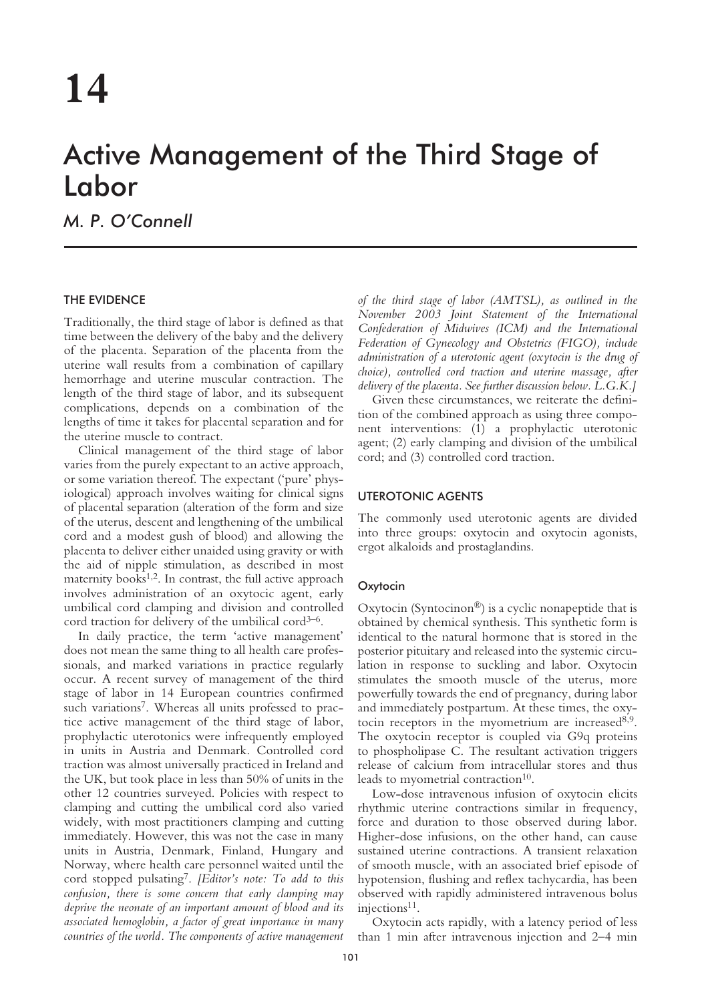# Active Management of the Third Stage of Labor

*M. P. O'Connell*

## THE EVIDENCE

Traditionally, the third stage of labor is defined as that time between the delivery of the baby and the delivery of the placenta. Separation of the placenta from the uterine wall results from a combination of capillary hemorrhage and uterine muscular contraction. The length of the third stage of labor, and its subsequent complications, depends on a combination of the lengths of time it takes for placental separation and for the uterine muscle to contract.

Clinical management of the third stage of labor varies from the purely expectant to an active approach, or some variation thereof. The expectant ('pure' physiological) approach involves waiting for clinical signs of placental separation (alteration of the form and size of the uterus, descent and lengthening of the umbilical cord and a modest gush of blood) and allowing the placenta to deliver either unaided using gravity or with the aid of nipple stimulation, as described in most maternity books<sup>1,2</sup>. In contrast, the full active approach involves administration of an oxytocic agent, early umbilical cord clamping and division and controlled cord traction for delivery of the umbilical cord $3-6$ .

In daily practice, the term 'active management' does not mean the same thing to all health care professionals, and marked variations in practice regularly occur. A recent survey of management of the third stage of labor in 14 European countries confirmed such variations<sup>7</sup>. Whereas all units professed to practice active management of the third stage of labor, prophylactic uterotonics were infrequently employed in units in Austria and Denmark. Controlled cord traction was almost universally practiced in Ireland and the UK, but took place in less than 50% of units in the other 12 countries surveyed. Policies with respect to clamping and cutting the umbilical cord also varied widely, with most practitioners clamping and cutting immediately. However, this was not the case in many units in Austria, Denmark, Finland, Hungary and Norway, where health care personnel waited until the cord stopped pulsating7. *[Editor's note: To add to this confusion, there is some concern that early clamping may deprive the neonate of an important amount of blood and its associated hemoglobin, a factor of great importance in many countries of the world. The components of active management*

*of the third stage of labor (AMTSL), as outlined in the November 2003 Joint Statement of the International Confederation of Midwives (ICM) and the International Federation of Gynecology and Obstetrics (FIGO), include administration of a uterotonic agent (oxytocin is the drug of choice), controlled cord traction and uterine massage, after delivery of the placenta. See further discussion below. L.G.K.]*

Given these circumstances, we reiterate the definition of the combined approach as using three component interventions: (1) a prophylactic uterotonic agent; (2) early clamping and division of the umbilical cord; and (3) controlled cord traction.

#### UTEROTONIC AGENTS

The commonly used uterotonic agents are divided into three groups: oxytocin and oxytocin agonists, ergot alkaloids and prostaglandins.

#### **Oxytocin**

Oxytocin (Syntocinon®) is a cyclic nonapeptide that is obtained by chemical synthesis. This synthetic form is identical to the natural hormone that is stored in the posterior pituitary and released into the systemic circulation in response to suckling and labor. Oxytocin stimulates the smooth muscle of the uterus, more powerfully towards the end of pregnancy, during labor and immediately postpartum. At these times, the oxytocin receptors in the myometrium are increased8,9. The oxytocin receptor is coupled via G9q proteins to phospholipase C. The resultant activation triggers release of calcium from intracellular stores and thus leads to myometrial contraction<sup>10</sup>.

Low-dose intravenous infusion of oxytocin elicits rhythmic uterine contractions similar in frequency, force and duration to those observed during labor. Higher-dose infusions, on the other hand, can cause sustained uterine contractions. A transient relaxation of smooth muscle, with an associated brief episode of hypotension, flushing and reflex tachycardia, has been observed with rapidly administered intravenous bolus injections11.

Oxytocin acts rapidly, with a latency period of less than 1 min after intravenous injection and 2–4 min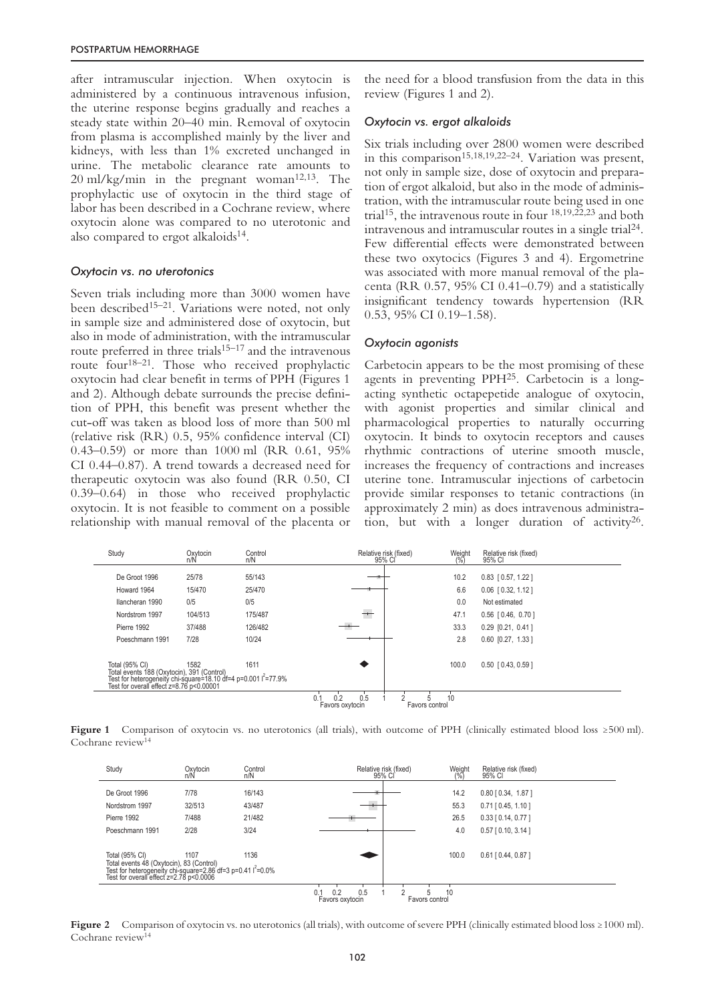after intramuscular injection. When oxytocin is administered by a continuous intravenous infusion, the uterine response begins gradually and reaches a steady state within 20–40 min. Removal of oxytocin from plasma is accomplished mainly by the liver and kidneys, with less than 1% excreted unchanged in urine. The metabolic clearance rate amounts to  $20 \text{ ml/kg/min}$  in the pregnant woman<sup>12,13</sup>. The prophylactic use of oxytocin in the third stage of labor has been described in a Cochrane review, where oxytocin alone was compared to no uterotonic and also compared to ergot alkaloids $14$ .

#### *Oxytocin vs. no uterotonics*

Seven trials including more than 3000 women have been described<sup>15-21</sup>. Variations were noted, not only in sample size and administered dose of oxytocin, but also in mode of administration, with the intramuscular route preferred in three trials<sup>15–17</sup> and the intravenous route four18–21. Those who received prophylactic oxytocin had clear benefit in terms of PPH (Figures 1 and 2). Although debate surrounds the precise definition of PPH, this benefit was present whether the cut-off was taken as blood loss of more than 500 ml (relative risk (RR) 0.5, 95% confidence interval (CI) 0.43–0.59) or more than 1000 ml (RR 0.61, 95% CI 0.44–0.87). A trend towards a decreased need for therapeutic oxytocin was also found (RR 0.50, CI 0.39–0.64) in those who received prophylactic oxytocin. It is not feasible to comment on a possible relationship with manual removal of the placenta or

the need for a blood transfusion from the data in this review (Figures 1 and 2).

#### *Oxytocin vs. ergot alkaloids*

Six trials including over 2800 women were described in this comparison<sup>15,18,19,22–24</sup>. Variation was present, not only in sample size, dose of oxytocin and preparation of ergot alkaloid, but also in the mode of administration, with the intramuscular route being used in one trial<sup>15</sup>, the intravenous route in four  $18,19,22,23$  and both intravenous and intramuscular routes in a single trial24. Few differential effects were demonstrated between these two oxytocics (Figures 3 and 4). Ergometrine was associated with more manual removal of the placenta (RR 0.57, 95% CI 0.41–0.79) and a statistically insignificant tendency towards hypertension (RR 0.53, 95% CI 0.19–1.58).

#### *Oxytocin agonists*

Carbetocin appears to be the most promising of these agents in preventing PPH25. Carbetocin is a longacting synthetic octapepetide analogue of oxytocin, with agonist properties and similar clinical and pharmacological properties to naturally occurring oxytocin. It binds to oxytocin receptors and causes rhythmic contractions of uterine smooth muscle, increases the frequency of contractions and increases uterine tone. Intramuscular injections of carbetocin provide similar responses to tetanic contractions (in approximately 2 min) as does intravenous administration, but with a longer duration of activity26.

| Study                                                                                                                                                                                  | Oxytocin<br>n/N | Control<br>n/N | Relative risk (fixed)<br>95% CI                        | Weight<br>%1 | Relative risk (fixed)<br>95% CI |  |
|----------------------------------------------------------------------------------------------------------------------------------------------------------------------------------------|-----------------|----------------|--------------------------------------------------------|--------------|---------------------------------|--|
| De Groot 1996                                                                                                                                                                          | 25/78           | 55/143         |                                                        | 10.2         | $0.83$ [ $0.57$ , 1.22 ]        |  |
| Howard 1964                                                                                                                                                                            | 15/470          | 25/470         |                                                        | 6.6          | $0.06$ $[0.32, 1.12]$           |  |
| Ilancheran 1990                                                                                                                                                                        | 0/5             | 0/5            |                                                        | 0.0          | Not estimated                   |  |
| Nordstrom 1997                                                                                                                                                                         | 104/513         | 175/487        | →                                                      | 47.1         | $0.56$ $[0.46, 0.70]$           |  |
| Pierre 1992                                                                                                                                                                            | 37/488          | 126/482        |                                                        | 33.3         | $0.29$ [0.21, 0.41]             |  |
| Poeschmann 1991                                                                                                                                                                        | 7/28            | 10/24          |                                                        | 2.8          | $0.60$ $[0.27, 1.33]$           |  |
| Total (95% CI)<br>Total events 188 (Oxytocin), 391 (Control)<br>Test for heterogeneity chi-square=18.10 df=4 p=0.001 l <sup>2</sup> =77.9%<br>Test for overall effect z=8.76 p<0.00001 | 1582            | 1611           |                                                        | 100.0        | $0.50$ $[0.43, 0.59]$           |  |
|                                                                                                                                                                                        |                 |                | 0.1<br>0.2<br>0.5<br>Favors control<br>Favors oxytocin | 10           |                                 |  |

**Figure 1** Comparison of oxytocin vs. no uterotonics (all trials), with outcome of PPH (clinically estimated blood loss  $\geq 500$  ml). Cochrane review<sup>14</sup>

| Study                                                                                                                                                                            | Oxytocin<br>n/N | Control<br>n/N   | Relative risk (fixed)<br>95% CI                        | Weight<br>$(\% )$ | Relative risk (fixed)<br>95% CI                |  |
|----------------------------------------------------------------------------------------------------------------------------------------------------------------------------------|-----------------|------------------|--------------------------------------------------------|-------------------|------------------------------------------------|--|
| De Groot 1996<br>Nordstrom 1997                                                                                                                                                  | 7/78<br>32/513  | 16/143<br>43/487 | ┯                                                      | 14.2<br>55.3      | $0.80$ [ 0.34, 1.87 ]<br>$0.71$ [ 0.45, 1.10 ] |  |
| Pierre 1992                                                                                                                                                                      | 7/488           | 21/482           |                                                        | 26.5              | $0.33$ [ 0.14, 0.77 ]                          |  |
| Poeschmann 1991                                                                                                                                                                  | 2/28            | 3/24             |                                                        | 4.0               | $0.57$ [ 0.10, 3.14 ]                          |  |
| Total (95% CI)<br>Total events 48 (Oxytocin), 83 (Control)<br>Test for heterogeneity chi-square=2.86 df=3 p=0.41 l <sup>2</sup> =0.0%<br>Test for overall effect z=2.78 p<0.0006 | 1107            | 1136             |                                                        | 100.0             | $0.61$ [ $0.44$ , $0.87$ ]                     |  |
|                                                                                                                                                                                  |                 |                  | 0.2<br>0.5<br>0.1<br>Favors oxytocin<br>Favors control | 10                |                                                |  |

**Figure 2** Comparison of oxytocin vs. no uterotonics (all trials), with outcome of severe PPH (clinically estimated blood loss  $\geq 1000$  ml). Cochrane review<sup>14</sup>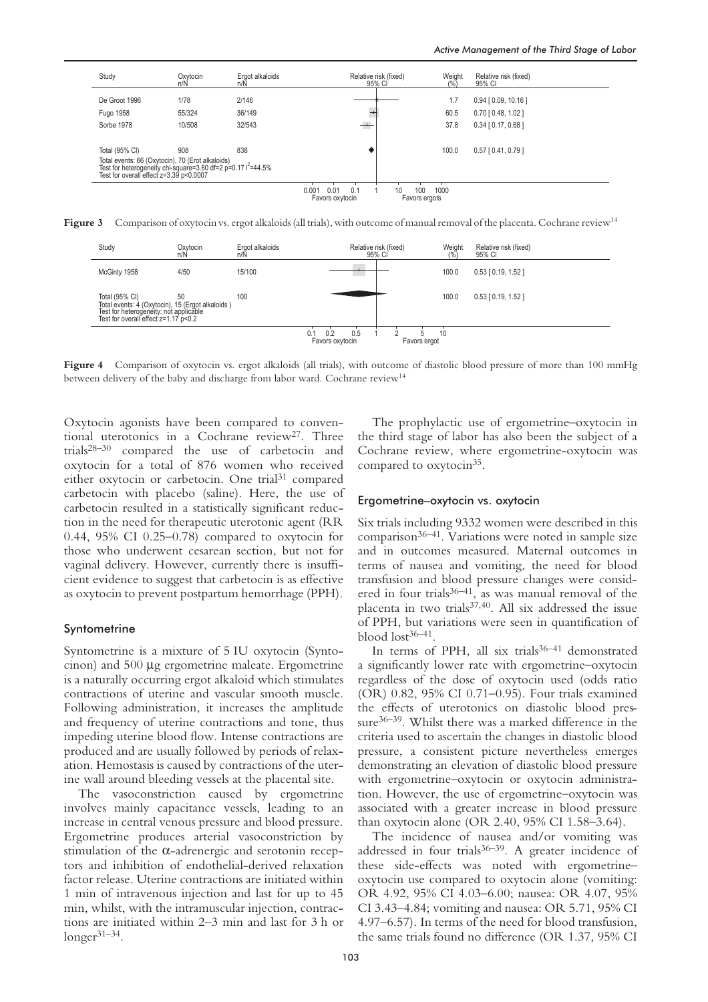| Study                                                                                                                                                                                     | Oxytocin<br>n/N | Ergot alkaloids<br>n/N | Relative risk (fixed)<br>95% CI                                       | Weight<br>(9) | Relative risk (fixed)<br>95% CI |
|-------------------------------------------------------------------------------------------------------------------------------------------------------------------------------------------|-----------------|------------------------|-----------------------------------------------------------------------|---------------|---------------------------------|
| De Groot 1996                                                                                                                                                                             | 1/78            | 2/146                  |                                                                       | 1.7           | $0.94$ [ 0.09, 10.16 ]          |
| Fugo 1958                                                                                                                                                                                 | 55/324          | 36/149                 | $^{+}$                                                                | 60.5          | $0.70$ [ $0.48$ , 1.02 ]        |
| Sorbe 1978                                                                                                                                                                                | 10/508          | 32/543                 | $\rightarrow$                                                         | 37.8          | $0.34$ [ 0.17, 0.68 ]           |
| Total (95% CI)<br>Total events: 66 (Oxytocin), 70 (Erot alkaloids)<br>Test for heterogeneity chi-square=3.60 df=2 p=0.17 l <sup>2</sup> =44.5%<br>Test for overall effect z=3.39 p<0.0007 | 908             | 838                    |                                                                       | 100.0         | $0.57$ [ $0.41$ , $0.79$ ]      |
|                                                                                                                                                                                           |                 |                        |                                                                       |               |                                 |
|                                                                                                                                                                                           |                 |                        | 0.001<br>0.01<br>100<br>0.1<br>10<br>Favors oxytocin<br>Favors ergots | 1000          |                                 |

**Figure 3** Comparison of oxytocin vs. ergot alkaloids (all trials), with outcome of manual removal of the placenta. Cochrane review<sup>14</sup>

| Study                                                                                                                                                | Oxvtocin<br>n/N | Ergot alkaloids<br>n/Ñ | Relative risk (fixed)<br>95% CI                      | Weight<br>(%) | Relative risk (fixed)<br>95% CI |
|------------------------------------------------------------------------------------------------------------------------------------------------------|-----------------|------------------------|------------------------------------------------------|---------------|---------------------------------|
| McGinty 1958                                                                                                                                         | 4/50            | 15/100                 |                                                      | 100.0         | $0.53$ [ $0.19$ , $1.52$ ]      |
| Total (95% CI)<br>Total events: 4 (Oxytocin), 15 (Ergot alkaloids)<br>Test for heterogeneity: not applicable<br>Test for overall effect z=1.17 p<0.2 | 50              | 100                    |                                                      | 100.0         | $0.53$ [ $0.19$ , $1.52$ ]      |
|                                                                                                                                                      |                 |                        | 0.2<br>0.5<br>0.1<br>Favors oxytocin<br>Favors ergot | 10            |                                 |

Figure 4 Comparison of oxytocin vs. ergot alkaloids (all trials), with outcome of diastolic blood pressure of more than 100 mmHg between delivery of the baby and discharge from labor ward. Cochrane review<sup>14</sup>

Oxytocin agonists have been compared to conventional uterotonics in a Cochrane review<sup>27</sup>. Three trials28–30 compared the use of carbetocin and oxytocin for a total of 876 women who received either oxytocin or carbetocin. One trial<sup>31</sup> compared carbetocin with placebo (saline). Here, the use of carbetocin resulted in a statistically significant reduction in the need for therapeutic uterotonic agent (RR 0.44, 95% CI 0.25–0.78) compared to oxytocin for those who underwent cesarean section, but not for vaginal delivery. However, currently there is insufficient evidence to suggest that carbetocin is as effective as oxytocin to prevent postpartum hemorrhage (PPH).

#### Syntometrine

Syntometrine is a mixture of 5 IU oxytocin (Syntocinon) and 500 µg ergometrine maleate. Ergometrine is a naturally occurring ergot alkaloid which stimulates contractions of uterine and vascular smooth muscle. Following administration, it increases the amplitude and frequency of uterine contractions and tone, thus impeding uterine blood flow. Intense contractions are produced and are usually followed by periods of relaxation. Hemostasis is caused by contractions of the uterine wall around bleeding vessels at the placental site.

The vasoconstriction caused by ergometrine involves mainly capacitance vessels, leading to an increase in central venous pressure and blood pressure. Ergometrine produces arterial vasoconstriction by stimulation of the α-adrenergic and serotonin receptors and inhibition of endothelial-derived relaxation factor release. Uterine contractions are initiated within 1 min of intravenous injection and last for up to 45 min, whilst, with the intramuscular injection, contractions are initiated within 2–3 min and last for 3 h or longer31–34.

The prophylactic use of ergometrine–oxytocin in the third stage of labor has also been the subject of a Cochrane review, where ergometrine-oxytocin was compared to oxytocin<sup>35</sup>.

#### Ergometrine–oxytocin vs. oxytocin

Six trials including 9332 women were described in this  $comparison<sup>36–41</sup>$ . Variations were noted in sample size and in outcomes measured. Maternal outcomes in terms of nausea and vomiting, the need for blood transfusion and blood pressure changes were considered in four trials $36-41$ , as was manual removal of the placenta in two trials $37,40$ . All six addressed the issue of PPH, but variations were seen in quantification of blood  $\text{lost}^{36-41}.$ 

In terms of PPH, all six trials $36-41$  demonstrated a significantly lower rate with ergometrine–oxytocin regardless of the dose of oxytocin used (odds ratio (OR) 0.82, 95% CI 0.71–0.95). Four trials examined the effects of uterotonics on diastolic blood pressure36–39. Whilst there was a marked difference in the criteria used to ascertain the changes in diastolic blood pressure, a consistent picture nevertheless emerges demonstrating an elevation of diastolic blood pressure with ergometrine–oxytocin or oxytocin administration. However, the use of ergometrine–oxytocin was associated with a greater increase in blood pressure than oxytocin alone (OR 2.40, 95% CI 1.58–3.64).

The incidence of nausea and/or vomiting was addressed in four trials $36-39$ . A greater incidence of these side-effects was noted with ergometrine– oxytocin use compared to oxytocin alone (vomiting: OR 4.92, 95% CI 4.03–6.00; nausea: OR 4.07, 95% CI 3.43–4.84; vomiting and nausea: OR 5.71, 95% CI 4.97–6.57). In terms of the need for blood transfusion, the same trials found no difference (OR 1.37, 95% CI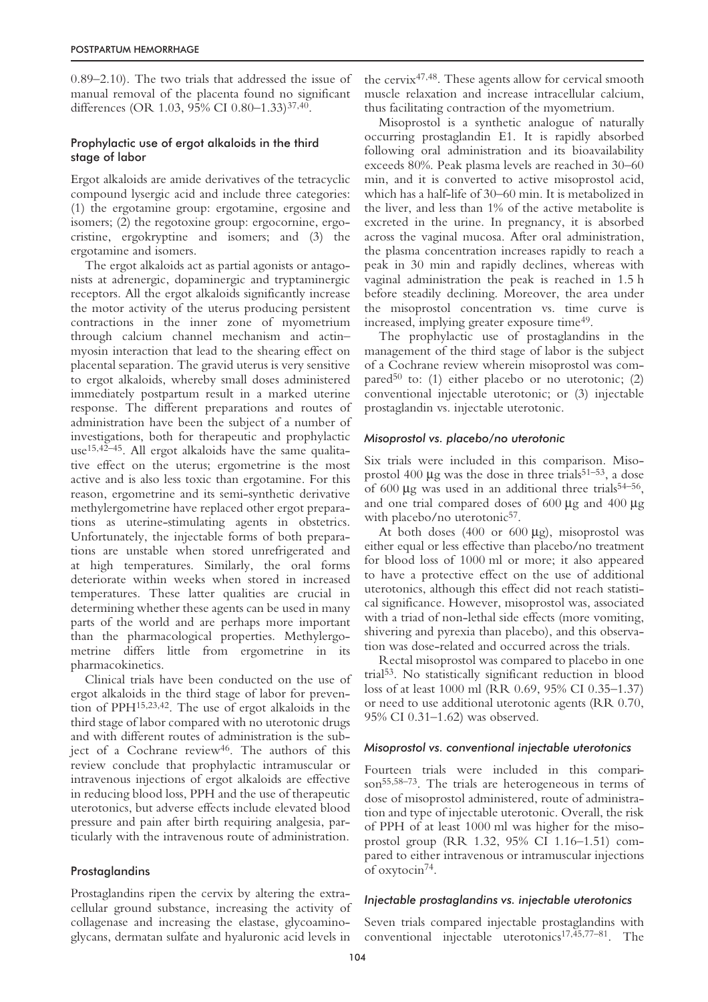0.89–2.10). The two trials that addressed the issue of manual removal of the placenta found no significant differences (OR 1.03, 95% CI 0.80–1.33)37,40.

## Prophylactic use of ergot alkaloids in the third stage of labor

Ergot alkaloids are amide derivatives of the tetracyclic compound lysergic acid and include three categories: (1) the ergotamine group: ergotamine, ergosine and isomers; (2) the regotoxine group: ergocornine, ergocristine, ergokryptine and isomers; and (3) the ergotamine and isomers.

The ergot alkaloids act as partial agonists or antagonists at adrenergic, dopaminergic and tryptaminergic receptors. All the ergot alkaloids significantly increase the motor activity of the uterus producing persistent contractions in the inner zone of myometrium through calcium channel mechanism and actin– myosin interaction that lead to the shearing effect on placental separation. The gravid uterus is very sensitive to ergot alkaloids, whereby small doses administered immediately postpartum result in a marked uterine response. The different preparations and routes of administration have been the subject of a number of investigations, both for therapeutic and prophylactic use15,42–45. All ergot alkaloids have the same qualitative effect on the uterus; ergometrine is the most active and is also less toxic than ergotamine. For this reason, ergometrine and its semi-synthetic derivative methylergometrine have replaced other ergot preparations as uterine-stimulating agents in obstetrics. Unfortunately, the injectable forms of both preparations are unstable when stored unrefrigerated and at high temperatures. Similarly, the oral forms deteriorate within weeks when stored in increased temperatures. These latter qualities are crucial in determining whether these agents can be used in many parts of the world and are perhaps more important than the pharmacological properties. Methylergometrine differs little from ergometrine in its pharmacokinetics.

Clinical trials have been conducted on the use of ergot alkaloids in the third stage of labor for prevention of PPH15,23,42. The use of ergot alkaloids in the third stage of labor compared with no uterotonic drugs and with different routes of administration is the subject of a Cochrane review<sup>46</sup>. The authors of this review conclude that prophylactic intramuscular or intravenous injections of ergot alkaloids are effective in reducing blood loss, PPH and the use of therapeutic uterotonics, but adverse effects include elevated blood pressure and pain after birth requiring analgesia, particularly with the intravenous route of administration.

## **Prostaglandins**

Prostaglandins ripen the cervix by altering the extracellular ground substance, increasing the activity of collagenase and increasing the elastase, glycoaminoglycans, dermatan sulfate and hyaluronic acid levels in the cervix47,48. These agents allow for cervical smooth muscle relaxation and increase intracellular calcium, thus facilitating contraction of the myometrium.

Misoprostol is a synthetic analogue of naturally occurring prostaglandin E1. It is rapidly absorbed following oral administration and its bioavailability exceeds 80%. Peak plasma levels are reached in 30–60 min, and it is converted to active misoprostol acid, which has a half-life of 30–60 min. It is metabolized in the liver, and less than 1% of the active metabolite is excreted in the urine. In pregnancy, it is absorbed across the vaginal mucosa. After oral administration, the plasma concentration increases rapidly to reach a peak in 30 min and rapidly declines, whereas with vaginal administration the peak is reached in 1.5 h before steadily declining. Moreover, the area under the misoprostol concentration vs. time curve is increased, implying greater exposure time<sup>49</sup>.

The prophylactic use of prostaglandins in the management of the third stage of labor is the subject of a Cochrane review wherein misoprostol was compared<sup>50</sup> to: (1) either placebo or no uterotonic; (2) conventional injectable uterotonic; or (3) injectable prostaglandin vs. injectable uterotonic.

## *Misoprostol vs. placebo/no uterotonic*

Six trials were included in this comparison. Misoprostol 400  $\mu$ g was the dose in three trials<sup>51–53</sup>, a dose of 600  $\mu$ g was used in an additional three trials<sup>54–56</sup>, and one trial compared doses of 600 µg and 400 µg with placebo/no uterotonic<sup>57</sup>.

At both doses (400 or 600 µg), misoprostol was either equal or less effective than placebo/no treatment for blood loss of 1000 ml or more; it also appeared to have a protective effect on the use of additional uterotonics, although this effect did not reach statistical significance. However, misoprostol was, associated with a triad of non-lethal side effects (more vomiting, shivering and pyrexia than placebo), and this observation was dose-related and occurred across the trials.

Rectal misoprostol was compared to placebo in one trial53. No statistically significant reduction in blood loss of at least 1000 ml (RR 0.69, 95% CI 0.35–1.37) or need to use additional uterotonic agents (RR 0.70, 95% CI 0.31–1.62) was observed.

#### *Misoprostol vs. conventional injectable uterotonics*

Fourteen trials were included in this comparison55,58–73. The trials are heterogeneous in terms of dose of misoprostol administered, route of administration and type of injectable uterotonic. Overall, the risk of PPH of at least 1000 ml was higher for the misoprostol group (RR 1.32, 95% CI 1.16–1.51) compared to either intravenous or intramuscular injections of oxytocin74.

## *Injectable prostaglandins vs. injectable uterotonics*

Seven trials compared injectable prostaglandins with conventional injectable uterotonics<sup>17,45,77-81</sup>. The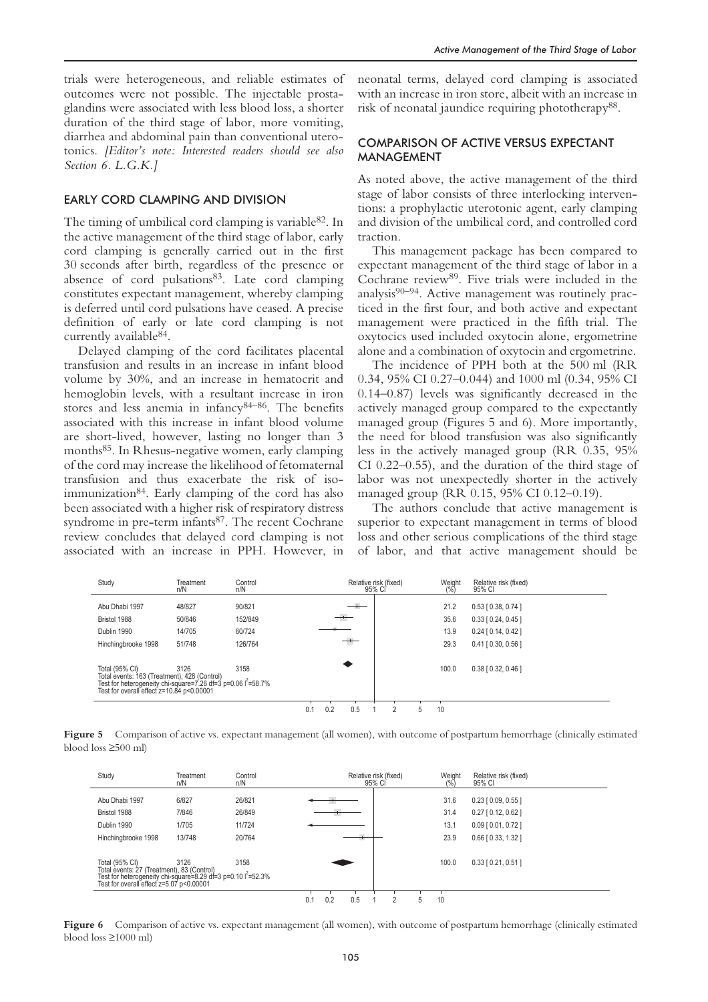trials were heterogeneous, and reliable estimates of outcomes were not possible. The injectable prostaglandins were associated with less blood loss, a shorter duration of the third stage of labor, more vomiting, diarrhea and abdominal pain than conventional uterotonics. *[Editor's note: Interested readers should see also Section 6. L.G.K.]*

#### EARLY CORD CLAMPING AND DIVISION

The timing of umbilical cord clamping is variable<sup>82</sup>. In the active management of the third stage of labor, early cord clamping is generally carried out in the first 30 seconds after birth, regardless of the presence or absence of cord pulsations<sup>83</sup>. Late cord clamping constitutes expectant management, whereby clamping is deferred until cord pulsations have ceased. A precise definition of early or late cord clamping is not currently available84.

Delayed clamping of the cord facilitates placental transfusion and results in an increase in infant blood volume by 30%, and an increase in hematocrit and hemoglobin levels, with a resultant increase in iron stores and less anemia in infancy84–86. The benefits associated with this increase in infant blood volume are short-lived, however, lasting no longer than 3 months<sup>85</sup>. In Rhesus-negative women, early clamping of the cord may increase the likelihood of fetomaternal transfusion and thus exacerbate the risk of isoimmunization84. Early clamping of the cord has also been associated with a higher risk of respiratory distress syndrome in pre-term infants<sup>87</sup>. The recent Cochrane review concludes that delayed cord clamping is not associated with an increase in PPH. However, in neonatal terms, delayed cord clamping is associated with an increase in iron store, albeit with an increase in risk of neonatal jaundice requiring phototherapy<sup>88</sup>.

## COMPARISON OF ACTIVE VERSUS EXPECTANT MANAGEMENT

As noted above, the active management of the third stage of labor consists of three interlocking interventions: a prophylactic uterotonic agent, early clamping and division of the umbilical cord, and controlled cord traction.

This management package has been compared to expectant management of the third stage of labor in a Cochrane review89. Five trials were included in the analysis90–94. Active management was routinely practiced in the first four, and both active and expectant management were practiced in the fifth trial. The oxytocics used included oxytocin alone, ergometrine alone and a combination of oxytocin and ergometrine.

The incidence of PPH both at the 500 ml (RR 0.34, 95% CI 0.27–0.044) and 1000 ml (0.34, 95% CI 0.14–0.87) levels was significantly decreased in the actively managed group compared to the expectantly managed group (Figures 5 and 6). More importantly, the need for blood transfusion was also significantly less in the actively managed group (RR 0.35, 95% CI 0.22–0.55), and the duration of the third stage of labor was not unexpectedly shorter in the actively managed group (RR 0.15, 95% CI 0.12–0.19).

The authors conclude that active management is superior to expectant management in terms of blood loss and other serious complications of the third stage of labor, and that active management should be

| Study                                                                                                                                                                                   | Treatment<br>n/N           | Control<br>n/N              |     |     |                   | 95% CI | Relative risk (fixed) |   | Weight<br>$\%$       | Relative risk (fixed)<br>95% CI                                              |
|-----------------------------------------------------------------------------------------------------------------------------------------------------------------------------------------|----------------------------|-----------------------------|-----|-----|-------------------|--------|-----------------------|---|----------------------|------------------------------------------------------------------------------|
| Abu Dhabi 1997<br>Bristol 1988<br>Dublin 1990                                                                                                                                           | 48/827<br>50/846<br>14/705 | 90/821<br>152/849<br>60/724 |     |     | $\longrightarrow$ |        |                       |   | 21.2<br>35.6<br>13.9 | $0.53$ [ 0.38, 0.74 ]<br>$0.33$ [ $0.24$ , $0.45$ ]<br>$0.24$ [ 0.14, 0.42 ] |
| Hinchingbrooke 1998                                                                                                                                                                     | 51/748                     | 126/764                     |     |     | $+$               |        |                       |   | 29.3                 | $0.41$ [ $0.30, 0.56$ ]                                                      |
| Total (95% CI)<br>Total events: 163 (Treatment), 428 (Control)<br>Test for heterogeneity chi-square=7.26 df=3 p=0.06 l <sup>2</sup> =58.7%<br>Test for overall effect z=10.84 p<0.00001 | 3126                       | 3158                        |     |     |                   |        |                       |   | 100.0                | $0.38$ [ $0.32$ , $0.46$ ]                                                   |
|                                                                                                                                                                                         |                            |                             | 0.1 | 0.2 | 0.5               |        |                       | 5 | 10                   |                                                                              |

**Figure 5** Comparison of active vs. expectant management (all women), with outcome of postpartum hemorrhage (clinically estimated blood loss ≥500 ml)

| Study                                                                                                                                                                                | Treatment<br>n/N | Control<br>n/N | Relative risk (fixed)<br>95% CI | Weight<br>(%) | Relative risk (fixed)<br>95% CI |
|--------------------------------------------------------------------------------------------------------------------------------------------------------------------------------------|------------------|----------------|---------------------------------|---------------|---------------------------------|
| Abu Dhabi 1997                                                                                                                                                                       | 6/827            | 26/821         |                                 | 31.6          | $0.23$ [ 0.09, 0.55 ]           |
| Bristol 1988                                                                                                                                                                         | 7/846            | 26/849         |                                 | 31.4          | $0.27$ [ 0.12, 0.62 ]           |
| Dublin 1990                                                                                                                                                                          | 1/705            | 11/724         |                                 | 13.1          | $0.09$ [ 0.01, 0.72 ]           |
| Hinchingbrooke 1998                                                                                                                                                                  | 13/748           | 20/764         |                                 | 23.9          | $0.66$ [ $0.33$ , $1.32$ ]      |
| Total (95% CI)<br>Total events: 27 (Treatment), 83 (Control)<br>Test for heterogeneity chi-square=8.29 df=3 p=0.10 l <sup>2</sup> =52.3%<br>Test for overall effect z=5.07 p<0.00001 | 3126             | 3158           |                                 | 100.0         | $0.33$ [ $0.21$ , $0.51$ ]      |
|                                                                                                                                                                                      |                  |                | 0.2<br>0.5<br>0.1<br>5          | 10            |                                 |

**Figure 6** Comparison of active vs. expectant management (all women), with outcome of postpartum hemorrhage (clinically estimated blood loss ≥1000 ml)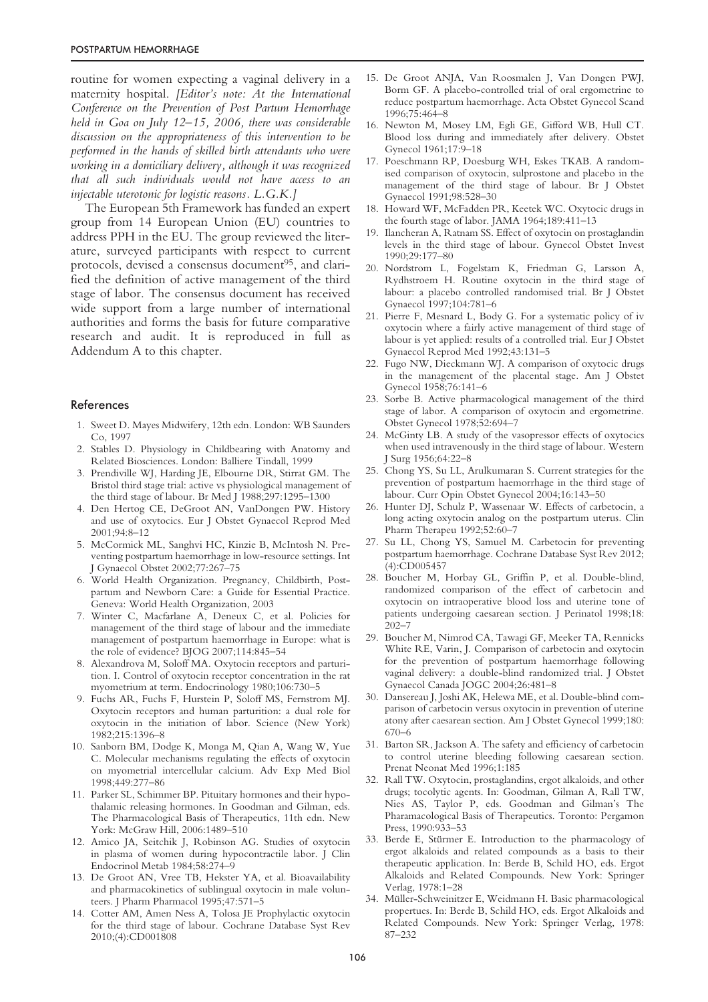routine for women expecting a vaginal delivery in a maternity hospital. *[Editor's note: At the International Conference on the Prevention of Post Partum Hemorrhage held in Goa on July 12–15, 2006, there was considerable discussion on the appropriateness of this intervention to be performed in the hands of skilled birth attendants who were working in a domiciliary delivery, although it was recognized that all such individuals would not have access to an injectable uterotonic for logistic reasons. L.G.K.]*

The European 5th Framework has funded an expert group from 14 European Union (EU) countries to address PPH in the EU. The group reviewed the literature, surveyed participants with respect to current protocols, devised a consensus document<sup>95</sup>, and clarified the definition of active management of the third stage of labor. The consensus document has received wide support from a large number of international authorities and forms the basis for future comparative research and audit. It is reproduced in full as Addendum A to this chapter.

#### References

- 1. Sweet D. Mayes Midwifery, 12th edn. London: WB Saunders Co, 1997
- 2. Stables D. Physiology in Childbearing with Anatomy and Related Biosciences. London: Balliere Tindall, 1999
- 3. Prendiville WJ, Harding JE, Elbourne DR, Stirrat GM. The Bristol third stage trial: active vs physiological management of the third stage of labour. Br Med J 1988;297:1295–1300
- 4. Den Hertog CE, DeGroot AN, VanDongen PW. History and use of oxytocics. Eur J Obstet Gynaecol Reprod Med 2001;94:8–12
- 5. McCormick ML, Sanghvi HC, Kinzie B, McIntosh N. Preventing postpartum haemorrhage in low-resource settings. Int J Gynaecol Obstet 2002;77:267–75
- 6. World Health Organization. Pregnancy, Childbirth, Postpartum and Newborn Care: a Guide for Essential Practice. Geneva: World Health Organization, 2003
- 7. Winter C, Macfarlane A, Deneux C, et al. Policies for management of the third stage of labour and the immediate management of postpartum haemorrhage in Europe: what is the role of evidence? BJOG 2007;114:845–54
- 8. Alexandrova M, Soloff MA. Oxytocin receptors and parturition. I. Control of oxytocin receptor concentration in the rat myometrium at term. Endocrinology 1980;106:730–5
- 9. Fuchs AR, Fuchs F, Hurstein P, Soloff MS, Fernstrom MJ. Oxytocin receptors and human parturition: a dual role for oxytocin in the initiation of labor. Science (New York) 1982;215:1396–8
- 10. Sanborn BM, Dodge K, Monga M, Qian A, Wang W, Yue C. Molecular mechanisms regulating the effects of oxytocin on myometrial intercellular calcium. Adv Exp Med Biol 1998;449:277–86
- 11. Parker SL, Schimmer BP. Pituitary hormones and their hypothalamic releasing hormones. In Goodman and Gilman, eds. The Pharmacological Basis of Therapeutics, 11th edn. New York: McGraw Hill, 2006:1489–510
- 12. Amico JA, Seitchik J, Robinson AG. Studies of oxytocin in plasma of women during hypocontractile labor. J Clin Endocrinol Metab 1984;58:274–9
- 13. De Groot AN, Vree TB, Hekster YA, et al. Bioavailability and pharmacokinetics of sublingual oxytocin in male volunteers. J Pharm Pharmacol 1995;47:571–5
- 14. Cotter AM, Amen Ness A, Tolosa JE Prophylactic oxytocin for the third stage of labour. Cochrane Database Syst Rev 2010;(4):CD001808
- 15. De Groot ANJA, Van Roosmalen J, Van Dongen PWJ, Borm GF. A placebo-controlled trial of oral ergometrine to reduce postpartum haemorrhage. Acta Obstet Gynecol Scand 1996;75:464–8
- 16. Newton M, Mosey LM, Egli GE, Gifford WB, Hull CT. Blood loss during and immediately after delivery. Obstet Gynecol 1961;17:9–18
- 17. Poeschmann RP, Doesburg WH, Eskes TKAB. A randomised comparison of oxytocin, sulprostone and placebo in the management of the third stage of labour. Br J Obstet Gynaecol 1991;98:528–30
- 18. Howard WF, McFadden PR, Keetek WC. Oxytocic drugs in the fourth stage of labor. JAMA 1964;189:411–13
- 19. Ilancheran A, Ratnam SS. Effect of oxytocin on prostaglandin levels in the third stage of labour. Gynecol Obstet Invest 1990;29:177–80
- 20. Nordstrom L, Fogelstam K, Friedman G, Larsson A, Rydhstroem H. Routine oxytocin in the third stage of labour: a placebo controlled randomised trial. Br J Obstet Gynaecol 1997;104:781–6
- 21. Pierre F, Mesnard L, Body G. For a systematic policy of iv oxytocin where a fairly active management of third stage of labour is yet applied: results of a controlled trial. Eur J Obstet Gynaecol Reprod Med 1992;43:131–5
- 22. Fugo NW, Dieckmann WJ. A comparison of oxytocic drugs in the management of the placental stage. Am J Obstet Gynecol 1958;76:141–6
- 23. Sorbe B. Active pharmacological management of the third stage of labor. A comparison of oxytocin and ergometrine. Obstet Gynecol 1978;52:694–7
- 24. McGinty LB. A study of the vasopressor effects of oxytocics when used intravenously in the third stage of labour. Western J Surg 1956;64:22–8
- 25. Chong YS, Su LL, Arulkumaran S. Current strategies for the prevention of postpartum haemorrhage in the third stage of labour. Curr Opin Obstet Gynecol 2004;16:143–50
- 26. Hunter DJ, Schulz P, Wassenaar W. Effects of carbetocin, a long acting oxytocin analog on the postpartum uterus. Clin Pharm Therapeu 1992;52:60–7
- 27. Su LL, Chong YS, Samuel M. Carbetocin for preventing postpartum haemorrhage. Cochrane Database Syst Rev 2012; (4):CD005457
- 28. Boucher M, Horbay GL, Griffin P, et al. Double-blind, randomized comparison of the effect of carbetocin and oxytocin on intraoperative blood loss and uterine tone of patients undergoing caesarean section. J Perinatol 1998;18: 202–7
- 29. Boucher M, Nimrod CA, Tawagi GF, Meeker TA, Rennicks White RE, Varin, J. Comparison of carbetocin and oxytocin for the prevention of postpartum haemorrhage following vaginal delivery: a double-blind randomized trial. J Obstet Gynaecol Canada JOGC 2004;26:481–8
- 30. Dansereau J, Joshi AK, Helewa ME, et al. Double-blind comparison of carbetocin versus oxytocin in prevention of uterine atony after caesarean section. Am J Obstet Gynecol 1999;180: 670–6
- 31. Barton SR, Jackson A. The safety and efficiency of carbetocin to control uterine bleeding following caesarean section. Prenat Neonat Med 1996;1:185
- 32. Rall TW. Oxytocin, prostaglandins, ergot alkaloids, and other drugs; tocolytic agents. In: Goodman, Gilman A, Rall TW, Nies AS, Taylor P, eds. Goodman and Gilman's The Pharamacological Basis of Therapeutics. Toronto: Pergamon Press, 1990:933–53
- 33. Berde E, Stürmer E. Introduction to the pharmacology of ergot alkaloids and related compounds as a basis to their therapeutic application. In: Berde B, Schild HO, eds. Ergot Alkaloids and Related Compounds. New York: Springer Verlag, 1978:1–28
- 34. Müller-Schweinitzer E, Weidmann H. Basic pharmacological propertues. In: Berde B, Schild HO, eds. Ergot Alkaloids and Related Compounds. New York: Springer Verlag, 1978: 87–232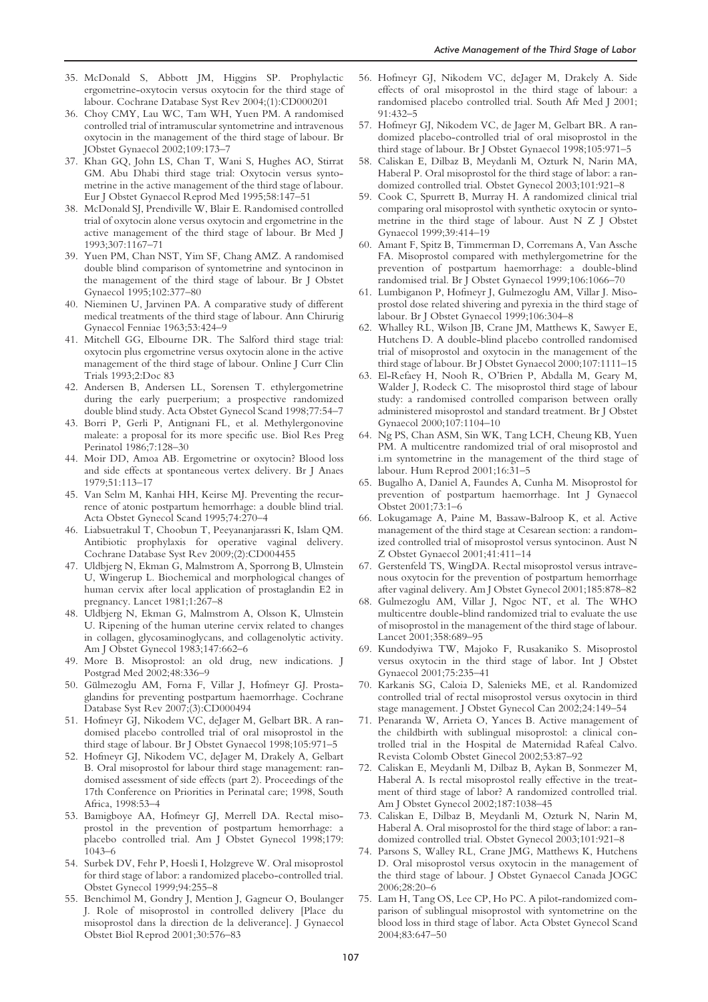- 35. McDonald S, Abbott JM, Higgins SP. Prophylactic ergometrine-oxytocin versus oxytocin for the third stage of labour. Cochrane Database Syst Rev 2004;(1):CD000201
- 36. Choy CMY, Lau WC, Tam WH, Yuen PM. A randomised controlled trial of intramuscular syntometrine and intravenous oxytocin in the management of the third stage of labour. Br JObstet Gynaecol 2002;109:173–7
- 37. Khan GQ, John LS, Chan T, Wani S, Hughes AO, Stirrat GM. Abu Dhabi third stage trial: Oxytocin versus syntometrine in the active management of the third stage of labour. Eur J Obstet Gynaecol Reprod Med 1995;58:147–51
- 38. McDonald SJ, Prendiville W, Blair E. Randomised controlled trial of oxytocin alone versus oxytocin and ergometrine in the active management of the third stage of labour. Br Med J 1993;307:1167–71
- 39. Yuen PM, Chan NST, Yim SF, Chang AMZ. A randomised double blind comparison of syntometrine and syntocinon in the management of the third stage of labour. Br J Obstet Gynaecol 1995;102:377–80
- 40. Nieminen U, Jarvinen PA. A comparative study of different medical treatments of the third stage of labour. Ann Chirurig Gynaecol Fenniae 1963;53:424–9
- 41. Mitchell GG, Elbourne DR. The Salford third stage trial: oxytocin plus ergometrine versus oxytocin alone in the active management of the third stage of labour. Online J Curr Clin Trials 1993;2:Doc 83
- 42. Andersen B, Andersen LL, Sorensen T. ethylergometrine during the early puerperium; a prospective randomized double blind study. Acta Obstet Gynecol Scand 1998;77:54–7
- 43. Borri P, Gerli P, Antignani FL, et al. Methylergonovine maleate: a proposal for its more specific use. Biol Res Preg Perinatol 1986;7:128–30
- 44. Moir DD, Amoa AB. Ergometrine or oxytocin? Blood loss and side effects at spontaneous vertex delivery. Br J Anaes 1979;51:113–17
- 45. Van Selm M, Kanhai HH, Keirse MJ. Preventing the recurrence of atonic postpartum hemorrhage: a double blind trial. Acta Obstet Gynecol Scand 1995;74:270–4
- 46. Liabsuetrakul T, Choobun T, Peeyananjarassri K, Islam QM. Antibiotic prophylaxis for operative vaginal delivery. Cochrane Database Syst Rev 2009;(2):CD004455
- 47. Uldbjerg N, Ekman G, Malmstrom A, Sporrong B, Ulmstein U, Wingerup L. Biochemical and morphological changes of human cervix after local application of prostaglandin E2 in pregnancy. Lancet 1981;1:267–8
- 48. Uldbjerg N, Ekman G, Malmstrom A, Olsson K, Ulmstein U. Ripening of the human uterine cervix related to changes in collagen, glycosaminoglycans, and collagenolytic activity. Am J Obstet Gynecol 1983;147:662–6
- 49. More B. Misoprostol: an old drug, new indications. J Postgrad Med 2002;48:336–9
- 50. Gülmezoglu AM, Forna F, Villar J, Hofmeyr GJ. Prostaglandins for preventing postpartum haemorrhage. Cochrane Database Syst Rev 2007;(3):CD000494
- 51. Hofmeyr GJ, Nikodem VC, deJager M, Gelbart BR. A randomised placebo controlled trial of oral misoprostol in the third stage of labour. Br J Obstet Gynaecol 1998;105:971–5
- 52. Hofmeyr GJ, Nikodem VC, deJager M, Drakely A, Gelbart B. Oral misoprostol for labour third stage management: randomised assessment of side effects (part 2). Proceedings of the 17th Conference on Priorities in Perinatal care; 1998, South Africa, 1998:53–4
- 53. Bamigboye AA, Hofmeyr GJ, Merrell DA. Rectal misoprostol in the prevention of postpartum hemorrhage: a placebo controlled trial. Am J Obstet Gynecol 1998;179: 1043–6
- 54. Surbek DV, Fehr P, Hoesli I, Holzgreve W. Oral misoprostol for third stage of labor: a randomized placebo-controlled trial. Obstet Gynecol 1999;94:255–8
- 55. Benchimol M, Gondry J, Mention J, Gagneur O, Boulanger J. Role of misoprostol in controlled delivery [Place du misoprostol dans la direction de la deliverance]. J Gynaecol Obstet Biol Reprod 2001;30:576–83
- 56. Hofmeyr GJ, Nikodem VC, deJager M, Drakely A. Side effects of oral misoprostol in the third stage of labour: a randomised placebo controlled trial. South Afr Med J 2001; 91:432–5
- 57. Hofmeyr GJ, Nikodem VC, de Jager M, Gelbart BR. A randomized placebo-controlled trial of oral misoprostol in the third stage of labour. Br J Obstet Gynaecol 1998;105:971–5
- 58. Caliskan E, Dilbaz B, Meydanli M, Ozturk N, Narin MA, Haberal P. Oral misoprostol for the third stage of labor: a randomized controlled trial. Obstet Gynecol 2003;101:921–8
- 59. Cook C, Spurrett B, Murray H. A randomized clinical trial comparing oral misoprostol with synthetic oxytocin or syntometrine in the third stage of labour. Aust N Z J Obstet Gynaecol 1999;39:414–19
- 60. Amant F, Spitz B, Timmerman D, Corremans A, Van Assche FA. Misoprostol compared with methylergometrine for the prevention of postpartum haemorrhage: a double-blind randomised trial. Br J Obstet Gynaecol 1999;106:1066–70
- 61. Lumbiganon P, Hofmeyr J, Gulmezoglu AM, Villar J. Misoprostol dose related shivering and pyrexia in the third stage of labour. Br J Obstet Gynaecol 1999;106:304–8
- 62. Whalley RL, Wilson JB, Crane JM, Matthews K, Sawyer E, Hutchens D. A double-blind placebo controlled randomised trial of misoprostol and oxytocin in the management of the third stage of labour. Br J Obstet Gynaecol 2000;107:1111–15
- 63. El-Refaey H, Nooh R, O'Brien P, Abdalla M, Geary M, Walder J, Rodeck C. The misoprostol third stage of labour study: a randomised controlled comparison between orally administered misoprostol and standard treatment. Br J Obstet Gynaecol 2000;107:1104–10
- 64. Ng PS, Chan ASM, Sin WK, Tang LCH, Cheung KB, Yuen PM. A multicentre randomized trial of oral misoprostol and i.m syntometrine in the management of the third stage of labour. Hum Reprod 2001;16:31–5
- 65. Bugalho A, Daniel A, Faundes A, Cunha M. Misoprostol for prevention of postpartum haemorrhage. Int J Gynaecol Obstet 2001;73:1–6
- 66. Lokugamage A, Paine M, Bassaw-Balroop K, et al. Active management of the third stage at Cesarean section: a randomized controlled trial of misoprostol versus syntocinon. Aust N Z Obstet Gynaecol 2001;41:411–14
- 67. Gerstenfeld TS, WingDA. Rectal misoprostol versus intravenous oxytocin for the prevention of postpartum hemorrhage after vaginal delivery. Am J Obstet Gynecol 2001;185:878–82
- 68. Gulmezoglu AM, Villar J, Ngoc NT, et al. The WHO multicentre double-blind randomized trial to evaluate the use of misoprostol in the management of the third stage of labour. Lancet 2001;358:689–95
- 69. Kundodyiwa TW, Majoko F, Rusakaniko S. Misoprostol versus oxytocin in the third stage of labor. Int J Obstet Gynaecol 2001;75:235–41
- 70. Karkanis SG, Caloia D, Salenieks ME, et al. Randomized controlled trial of rectal misoprostol versus oxytocin in third stage management. J Obstet Gynecol Can 2002;24:149–54
- 71. Penaranda W, Arrieta O, Yances B. Active management of the childbirth with sublingual misoprostol: a clinical controlled trial in the Hospital de Maternidad Rafeal Calvo. Revista Colomb Obstet Ginecol 2002;53:87–92
- 72. Caliskan E, Meydanli M, Dilbaz B, Aykan B, Sonmezer M, Haberal A. Is rectal misoprostol really effective in the treatment of third stage of labor? A randomized controlled trial. Am J Obstet Gynecol 2002;187:1038–45
- 73. Caliskan E, Dilbaz B, Meydanli M, Ozturk N, Narin M, Haberal A. Oral misoprostol for the third stage of labor: a randomized controlled trial. Obstet Gynecol 2003;101:921–8
- 74. Parsons S, Walley RL, Crane JMG, Matthews K, Hutchens D. Oral misoprostol versus oxytocin in the management of the third stage of labour. J Obstet Gynaecol Canada JOGC 2006;28:20–6
- 75. Lam H, Tang OS, Lee CP, Ho PC. A pilot-randomized comparison of sublingual misoprostol with syntometrine on the blood loss in third stage of labor. Acta Obstet Gynecol Scand 2004;83:647–50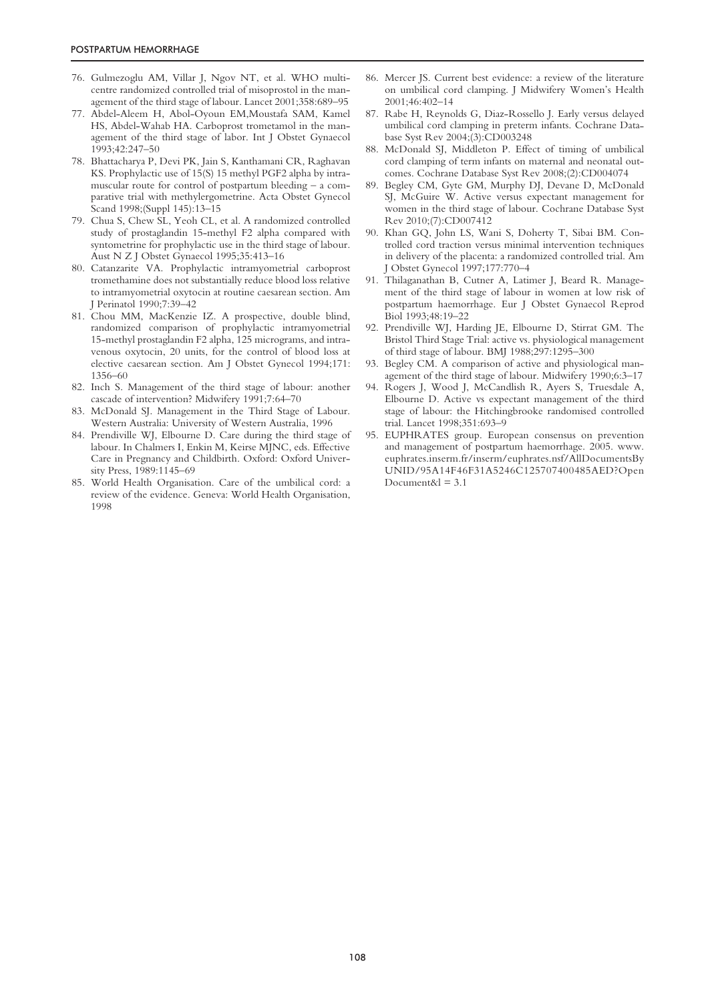- 76. Gulmezoglu AM, Villar J, Ngov NT, et al. WHO multicentre randomized controlled trial of misoprostol in the management of the third stage of labour. Lancet 2001;358:689–95
- 77. Abdel-Aleem H, Abol-Oyoun EM,Moustafa SAM, Kamel HS, Abdel-Wahab HA. Carboprost trometamol in the management of the third stage of labor. Int J Obstet Gynaecol 1993;42:247–50
- 78. Bhattacharya P, Devi PK, Jain S, Kanthamani CR, Raghavan KS. Prophylactic use of 15(S) 15 methyl PGF2 alpha by intramuscular route for control of postpartum bleeding – a comparative trial with methylergometrine. Acta Obstet Gynecol Scand 1998;(Suppl 145):13–15
- 79. Chua S, Chew SL, Yeoh CL, et al. A randomized controlled study of prostaglandin 15-methyl F2 alpha compared with syntometrine for prophylactic use in the third stage of labour. Aust N Z J Obstet Gynaecol 1995;35:413–16
- 80. Catanzarite VA. Prophylactic intramyometrial carboprost tromethamine does not substantially reduce blood loss relative to intramyometrial oxytocin at routine caesarean section. Am J Perinatol 1990;7:39–42
- 81. Chou MM, MacKenzie IZ. A prospective, double blind, randomized comparison of prophylactic intramyometrial 15-methyl prostaglandin F2 alpha, 125 micrograms, and intravenous oxytocin, 20 units, for the control of blood loss at elective caesarean section. Am J Obstet Gynecol 1994;171: 1356–60
- 82. Inch S. Management of the third stage of labour: another cascade of intervention? Midwifery 1991;7:64–70
- 83. McDonald SJ. Management in the Third Stage of Labour. Western Australia: University of Western Australia, 1996
- 84. Prendiville WJ, Elbourne D. Care during the third stage of labour. In Chalmers I, Enkin M, Keirse MJNC, eds. Effective Care in Pregnancy and Childbirth. Oxford: Oxford University Press, 1989:1145–69
- 85. World Health Organisation. Care of the umbilical cord: a review of the evidence. Geneva: World Health Organisation, 1998
- 86. Mercer JS. Current best evidence: a review of the literature on umbilical cord clamping. J Midwifery Women's Health 2001;46:402–14
- 87. Rabe H, Reynolds G, Diaz-Rossello J. Early versus delayed umbilical cord clamping in preterm infants. Cochrane Database Syst Rev 2004;(3):CD003248
- 88. McDonald SJ, Middleton P. Effect of timing of umbilical cord clamping of term infants on maternal and neonatal outcomes. Cochrane Database Syst Rev 2008;(2):CD004074
- 89. Begley CM, Gyte GM, Murphy DJ, Devane D, McDonald SJ, McGuire W. Active versus expectant management for women in the third stage of labour. Cochrane Database Syst Rev 2010;(7):CD007412
- 90. Khan GQ, John LS, Wani S, Doherty T, Sibai BM. Controlled cord traction versus minimal intervention techniques in delivery of the placenta: a randomized controlled trial. Am J Obstet Gynecol 1997;177:770–4
- 91. Thilaganathan B, Cutner A, Latimer J, Beard R. Management of the third stage of labour in women at low risk of postpartum haemorrhage. Eur J Obstet Gynaecol Reprod Biol 1993;48:19–22
- 92. Prendiville WJ, Harding JE, Elbourne D, Stirrat GM. The Bristol Third Stage Trial: active vs. physiological management of third stage of labour. BMJ 1988;297:1295–300
- 93. Begley CM. A comparison of active and physiological management of the third stage of labour. Midwifery 1990;6:3–17
- 94. Rogers J, Wood J, McCandlish R, Ayers S, Truesdale A, Elbourne D. Active vs expectant management of the third stage of labour: the Hitchingbrooke randomised controlled trial. Lancet 1998;351:693–9
- 95. EUPHRATES group. European consensus on prevention and management of postpartum haemorrhage. 2005. www. euphrates.inserm.fr/inserm/euphrates.nsf/AllDocumentsBy UNID/95A14F46F31A5246C125707400485AED?Open Document $&$ l = 3.1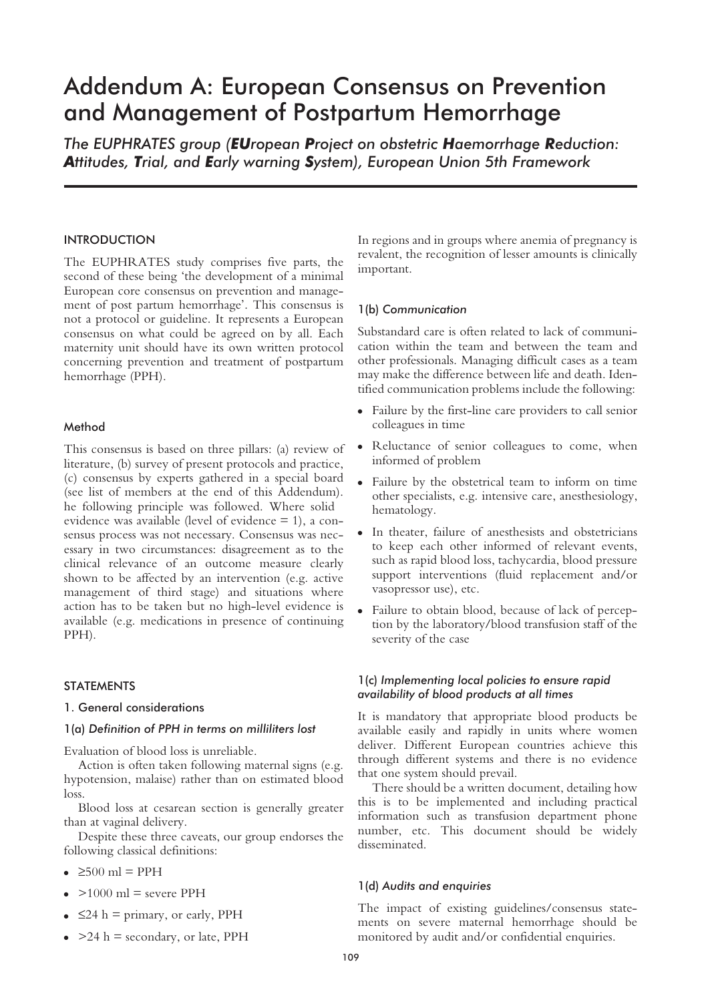## Addendum A: European Consensus on Prevention and Management of Postpartum Hemorrhage

*The EUPHRATES group (EUropean Project on obstetric Haemorrhage Reduction: Attitudes, Trial, and Early warning System), European Union 5th Framework*

## INTRODUCTION

The EUPHRATES study comprises five parts, the second of these being 'the development of a minimal European core consensus on prevention and management of post partum hemorrhage'. This consensus is not a protocol or guideline. It represents a European consensus on what could be agreed on by all. Each maternity unit should have its own written protocol concerning prevention and treatment of postpartum hemorrhage (PPH).

#### Method

This consensus is based on three pillars: (a) review of literature, (b) survey of present protocols and practice, (c) consensus by experts gathered in a special board (see list of members at the end of this Addendum). he following principle was followed. Where solid evidence was available (level of evidence  $= 1$ ), a consensus process was not necessary. Consensus was necessary in two circumstances: disagreement as to the clinical relevance of an outcome measure clearly shown to be affected by an intervention (e.g. active management of third stage) and situations where action has to be taken but no high-level evidence is available (e.g. medications in presence of continuing PPH).

#### **STATEMENTS**

#### 1. General considerations

#### 1(a) *Definition of PPH in terms on milliliters lost*

Evaluation of blood loss is unreliable.

Action is often taken following maternal signs (e.g. hypotension, malaise) rather than on estimated blood loss.

Blood loss at cesarean section is generally greater than at vaginal delivery.

Despite these three caveats, our group endorses the following classical definitions:

- $\geq 500$  ml = PPH
- $\bullet$  >1000 ml = severe PPH
- $\triangleq$   $\leq$ 24 h = primary, or early, PPH
- $\bullet$  >24 h = secondary, or late, PPH

In regions and in groups where anemia of pregnancy is revalent, the recognition of lesser amounts is clinically important.

#### 1(b) *Communication*

Substandard care is often related to lack of communication within the team and between the team and other professionals. Managing difficult cases as a team may make the difference between life and death. Identified communication problems include the following:

- Failure by the first-line care providers to call senior colleagues in time
- Reluctance of senior colleagues to come, when informed of problem
- Failure by the obstetrical team to inform on time other specialists, e.g. intensive care, anesthesiology, hematology.
- In theater, failure of anesthesists and obstetricians to keep each other informed of relevant events, such as rapid blood loss, tachycardia, blood pressure support interventions (fluid replacement and/or vasopressor use), etc.
- Failure to obtain blood, because of lack of perception by the laboratory/blood transfusion staff of the severity of the case

## 1(c) *Implementing local policies to ensure rapid availability of blood products at all times*

It is mandatory that appropriate blood products be available easily and rapidly in units where women deliver. Different European countries achieve this through different systems and there is no evidence that one system should prevail.

There should be a written document, detailing how this is to be implemented and including practical information such as transfusion department phone number, etc. This document should be widely disseminated.

## 1(d) *Audits and enquiries*

The impact of existing guidelines/consensus statements on severe maternal hemorrhage should be monitored by audit and/or confidential enquiries.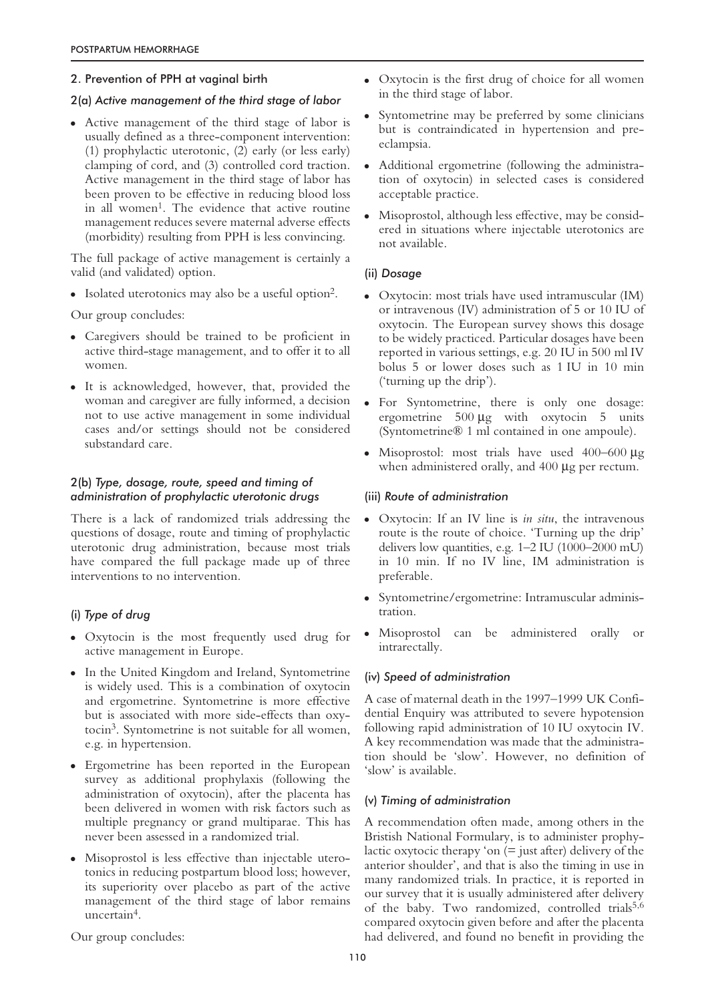## 2. Prevention of PPH at vaginal birth

## 2(a) *Active management of the third stage of labor*

• Active management of the third stage of labor is usually defined as a three-component intervention: (1) prophylactic uterotonic, (2) early (or less early) clamping of cord, and (3) controlled cord traction. Active management in the third stage of labor has been proven to be effective in reducing blood loss in all women<sup>1</sup>. The evidence that active routine management reduces severe maternal adverse effects (morbidity) resulting from PPH is less convincing.

The full package of active management is certainly a valid (and validated) option.

● Isolated uterotonics may also be a useful option2.

Our group concludes:

- Caregivers should be trained to be proficient in active third-stage management, and to offer it to all women.
- It is acknowledged, however, that, provided the woman and caregiver are fully informed, a decision not to use active management in some individual cases and/or settings should not be considered substandard care.

## 2(b) *Type, dosage, route, speed and timing of administration of prophylactic uterotonic drugs*

There is a lack of randomized trials addressing the questions of dosage, route and timing of prophylactic uterotonic drug administration, because most trials have compared the full package made up of three interventions to no intervention.

## (i) *Type of drug*

- Oxytocin is the most frequently used drug for active management in Europe.
- In the United Kingdom and Ireland, Syntometrine is widely used. This is a combination of oxytocin and ergometrine. Syntometrine is more effective but is associated with more side-effects than oxytocin3. Syntometrine is not suitable for all women, e.g. in hypertension.
- Ergometrine has been reported in the European survey as additional prophylaxis (following the administration of oxytocin), after the placenta has been delivered in women with risk factors such as multiple pregnancy or grand multiparae. This has never been assessed in a randomized trial.
- Misoprostol is less effective than injectable uterotonics in reducing postpartum blood loss; however, its superiority over placebo as part of the active management of the third stage of labor remains uncertain4.

Our group concludes:

- Oxytocin is the first drug of choice for all women in the third stage of labor.
- Syntometrine may be preferred by some clinicians but is contraindicated in hypertension and preeclampsia.
- Additional ergometrine (following the administration of oxytocin) in selected cases is considered acceptable practice.
- Misoprostol, although less effective, may be considered in situations where injectable uterotonics are not available.

## (ii) *Dosage*

- Oxytocin: most trials have used intramuscular (IM) or intravenous (IV) administration of 5 or 10 IU of oxytocin. The European survey shows this dosage to be widely practiced. Particular dosages have been reported in various settings, e.g. 20 IU in 500 ml IV bolus 5 or lower doses such as 1 IU in 10 min ('turning up the drip').
- For Syntometrine, there is only one dosage: ergometrine  $500 \mu g$  with oxytocin 5 units (Syntometrine® 1 ml contained in one ampoule).
- Misoprostol: most trials have used  $400-600 \mu$ g when administered orally, and 400  $\mu$ g per rectum.

## (iii) *Route of administration*

- Oxytocin: If an IV line is *in situ*, the intravenous route is the route of choice. 'Turning up the drip' delivers low quantities, e.g. 1–2 IU (1000–2000 mU) in 10 min. If no IV line, IM administration is preferable.
- Syntometrine/ergometrine: Intramuscular administration.
- Misoprostol can be administered orally or intrarectally.

## (iv) *Speed of administration*

A case of maternal death in the 1997–1999 UK Confidential Enquiry was attributed to severe hypotension following rapid administration of 10 IU oxytocin IV. A key recommendation was made that the administration should be 'slow'. However, no definition of 'slow' is available.

## (v) *Timing of administration*

A recommendation often made, among others in the Bristish National Formulary, is to administer prophylactic oxytocic therapy 'on  $(=$  just after) delivery of the anterior shoulder', and that is also the timing in use in many randomized trials. In practice, it is reported in our survey that it is usually administered after delivery of the baby. Two randomized, controlled trials<sup>5,6</sup> compared oxytocin given before and after the placenta had delivered, and found no benefit in providing the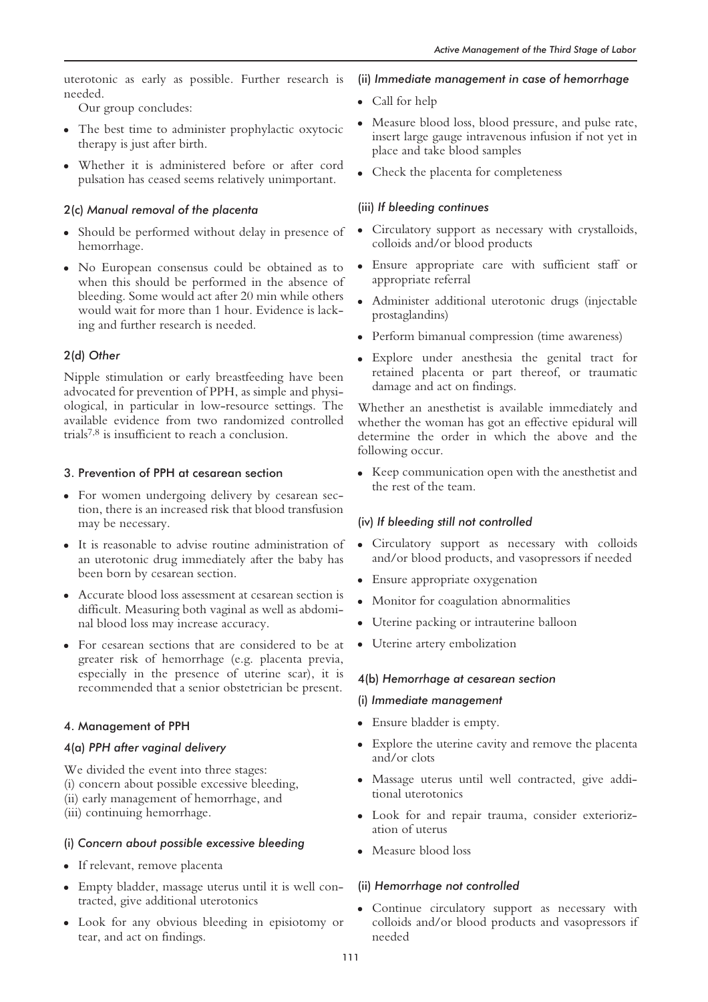uterotonic as early as possible. Further research is needed.

Our group concludes:

- The best time to administer prophylactic oxytocic therapy is just after birth.
- Whether it is administered before or after cord pulsation has ceased seems relatively unimportant.

## 2(c) *Manual removal of the placenta*

- Should be performed without delay in presence of hemorrhage.
- No European consensus could be obtained as to when this should be performed in the absence of bleeding. Some would act after 20 min while others would wait for more than 1 hour. Evidence is lacking and further research is needed.

## 2(d) *Other*

Nipple stimulation or early breastfeeding have been advocated for prevention of PPH, as simple and physiological, in particular in low-resource settings. The available evidence from two randomized controlled trials7,8 is insufficient to reach a conclusion.

## 3. Prevention of PPH at cesarean section

- For women undergoing delivery by cesarean section, there is an increased risk that blood transfusion may be necessary.
- It is reasonable to advise routine administration of an uterotonic drug immediately after the baby has been born by cesarean section.
- Accurate blood loss assessment at cesarean section is difficult. Measuring both vaginal as well as abdominal blood loss may increase accuracy.
- For cesarean sections that are considered to be at greater risk of hemorrhage (e.g. placenta previa, especially in the presence of uterine scar), it is recommended that a senior obstetrician be present.

## 4. Management of PPH

## 4(a) *PPH after vaginal delivery*

- We divided the event into three stages:
- (i) concern about possible excessive bleeding,
- (ii) early management of hemorrhage, and
- (iii) continuing hemorrhage.

## (i) *Concern about possible excessive bleeding*

- If relevant, remove placenta
- Empty bladder, massage uterus until it is well contracted, give additional uterotonics
- Look for any obvious bleeding in episiotomy or tear, and act on findings.

## (ii) *Immediate management in case of hemorrhage*

- Call for help
- Measure blood loss, blood pressure, and pulse rate, insert large gauge intravenous infusion if not yet in place and take blood samples
- Check the placenta for completeness

## (iii) *If bleeding continues*

- Circulatory support as necessary with crystalloids, colloids and/or blood products
- Ensure appropriate care with sufficient staff or appropriate referral
- Administer additional uterotonic drugs (injectable prostaglandins)
- Perform bimanual compression (time awareness)
- Explore under anesthesia the genital tract for retained placenta or part thereof, or traumatic damage and act on findings.

Whether an anesthetist is available immediately and whether the woman has got an effective epidural will determine the order in which the above and the following occur.

• Keep communication open with the anesthetist and the rest of the team.

## (iv) *If bleeding still not controlled*

- Circulatory support as necessary with colloids and/or blood products, and vasopressors if needed
- Ensure appropriate oxygenation
- Monitor for coagulation abnormalities
- Uterine packing or intrauterine balloon
- Uterine artery embolization

## 4(b) *Hemorrhage at cesarean section*

## (i) *Immediate management*

- Ensure bladder is empty.
- Explore the uterine cavity and remove the placenta and/or clots
- Massage uterus until well contracted, give additional uterotonics
- Look for and repair trauma, consider exteriorization of uterus
- Measure blood loss

## (ii) *Hemorrhage not controlled*

● Continue circulatory support as necessary with colloids and/or blood products and vasopressors if needed